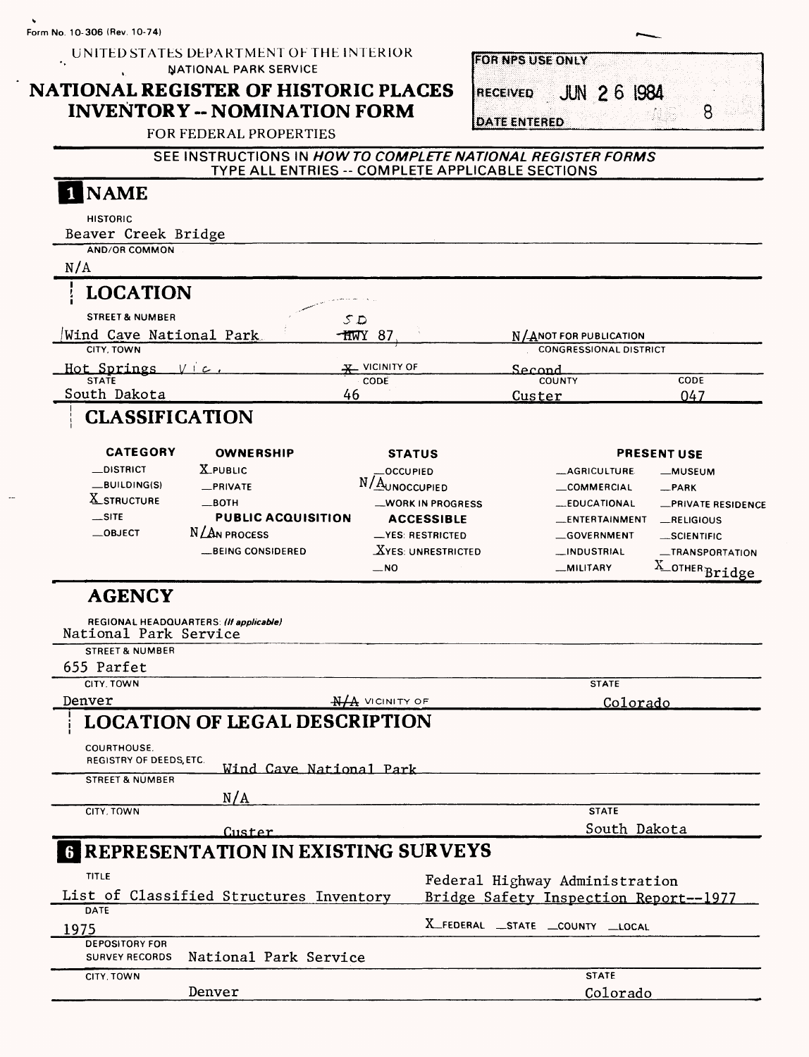#### UNITED STATES DEPARTMENT OF THE INTERIOR **NATIONAL PARK SERVICE**  $\mathbf{r}$

# **NATIONAL REGISTER OF HISTORIC PLACES INVENTORY -- NOMINATION FORM**

FOR FEDERAL PROPERTIES

|  | <b>JUN 26 1984</b> |  |
|--|--------------------|--|

### **SEE INSTRUCTIONS IN HOW TO COMPLETE NATIONAL REGISTER FORMS**  TYPE ALL ENTRIES -- COMPLETE APPLICABLE SECTIONS

| <b>NAME</b>                                 |                                                    |                             |                         |        |                                       |                                  |
|---------------------------------------------|----------------------------------------------------|-----------------------------|-------------------------|--------|---------------------------------------|----------------------------------|
| <b>HISTORIC</b>                             |                                                    |                             |                         |        |                                       |                                  |
| Beaver Creek Bridge                         |                                                    |                             |                         |        |                                       |                                  |
| <b>AND/OR COMMON</b>                        |                                                    |                             |                         |        |                                       |                                  |
| N/A                                         |                                                    |                             |                         |        |                                       |                                  |
| <b>LOCATION</b>                             |                                                    |                             |                         |        |                                       |                                  |
| <b>STREET &amp; NUMBER</b>                  |                                                    | S.D                         |                         |        |                                       |                                  |
| Wind Cave National Park                     |                                                    | - <del>h</del> wy 87        |                         |        | N/ANOT FOR PUBLICATION                |                                  |
| CITY, TOWN                                  |                                                    |                             |                         |        | <b>CONGRESSIONAL DISTRICT</b>         |                                  |
| Hot Springs Vic                             |                                                    | X VICINITY OF               |                         | Second |                                       |                                  |
| STATE<br>South Dakota                       |                                                    | CODE<br>46                  |                         | Custer | <b>COUNTY</b>                         | CODE<br>047                      |
| <b>CLASSIFICATION</b>                       |                                                    |                             |                         |        |                                       |                                  |
| <b>CATEGORY</b>                             | <b>OWNERSHIP</b>                                   | <b>STATUS</b>               |                         |        |                                       | <b>PRESENT USE</b>               |
| <b>__DISTRICT</b>                           | <b>X_PUBLIC</b>                                    | <b>OCCUPIED</b>             |                         |        | <b>__AGRICULTURE</b>                  | —MUSEUM                          |
| BUILDING(S)                                 | _PRIVATE                                           | N/AUNOCCUPIED               |                         |        | __COMMERCIAL                          | $-$ PARK                         |
| <b>X_STRUCTURE</b>                          | $\_$ BOTH                                          |                             | <b>WORK IN PROGRESS</b> |        | __EDUCATIONAL                         | <b>__PRIVATE RESIDENCE</b>       |
| $\overline{\phantom{a}}$ SITE<br>$-$ OBJECT | <b>PUBLIC ACQUISITION</b><br>$N/\text{An process}$ |                             | <b>ACCESSIBLE</b>       |        | __ENTERTAINMENT                       | RELIGIOUS                        |
|                                             | <b>__BEING CONSIDERED</b>                          | -YES: RESTRICTED            | $X$ YES: UNRESTRICTED   |        | GOVERNMENT<br>_INDUSTRIAL             | __SCIENTIFIC                     |
|                                             |                                                    | $\overline{\phantom{0}}$ NO |                         |        | __MILITARY                            | _TRANSPORTATION<br>X_OTHERBridge |
| <b>AGENCY</b>                               |                                                    |                             |                         |        |                                       |                                  |
|                                             | REGIONAL HEADQUARTERS: (If applicable)             |                             |                         |        |                                       |                                  |
| National Park Service                       |                                                    |                             |                         |        |                                       |                                  |
| <b>STREET &amp; NUMBER</b>                  |                                                    |                             |                         |        |                                       |                                  |
| 655 Parfet                                  |                                                    |                             |                         |        |                                       |                                  |
| CITY, TOWN                                  |                                                    |                             |                         |        | <b>STATE</b>                          |                                  |
| Denver                                      |                                                    | $H/A$ Vicinity of           |                         |        | Colorado                              |                                  |
|                                             | <b>LOCATION OF LEGAL DESCRIPTION</b>               |                             |                         |        |                                       |                                  |
| COURTHOUSE.<br>REGISTRY OF DEEDS, ETC.      |                                                    |                             |                         |        |                                       |                                  |
| <b>STREET &amp; NUMBER</b>                  | Wind Cave National Park                            |                             |                         |        |                                       |                                  |
|                                             | N/A                                                |                             |                         |        |                                       |                                  |
| CITY, TOWN                                  |                                                    |                             |                         |        | <b>STATE</b>                          |                                  |
|                                             | Custer                                             |                             |                         |        | South Dakota                          |                                  |
|                                             | <b>REPRESENTATION IN EXISTING SURVEYS</b>          |                             |                         |        |                                       |                                  |
|                                             |                                                    |                             |                         |        |                                       |                                  |
| <b>TITLE</b>                                |                                                    |                             |                         |        | Federal Highway Administration        |                                  |
| DATE                                        | List of Classified Structures Inventory            |                             |                         |        | Bridge Safety Inspection Report--1977 |                                  |
|                                             |                                                    |                             |                         |        | X_FEDERAL _STATE _COUNTY _LOCAL       |                                  |
| 1975<br><b>DEPOSITORY FOR</b>               |                                                    |                             |                         |        |                                       |                                  |
| <b>SURVEY RECORDS</b>                       | National Park Service                              |                             |                         |        |                                       |                                  |
| CITY, TOWN                                  |                                                    |                             |                         |        | <b>STATE</b>                          |                                  |
|                                             | Denver                                             |                             |                         |        | Colorado                              |                                  |
|                                             |                                                    |                             |                         |        |                                       |                                  |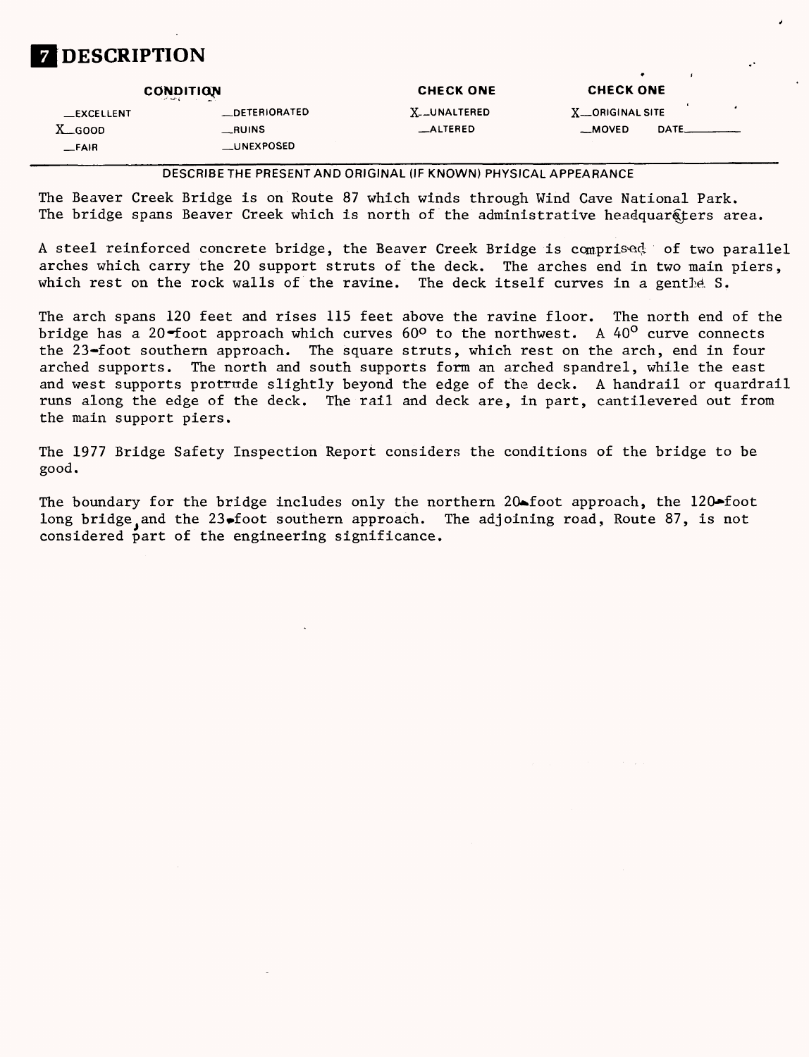

| <b>CONDITION</b> |                   | <b>CHECK ONE</b> | <b>CHECK ONE</b>   |      |  |
|------------------|-------------------|------------------|--------------------|------|--|
| $\_$ EXCELLENT   | _DETERIORATED     | X__UNALTERED     | X __ ORIGINAL SITE |      |  |
| $X_{-}$ GOOD     | $\_$ RUINS        | _ALTERED         | __MOVED            | DATE |  |
| $-$ FAIR         | <b>LUNEXPOSED</b> |                  |                    |      |  |

DESCRIBETHE PRESENT AND ORIGINAL (IF KNOWN) PHYSICAL APPEARANCE

The Beaver Creek Bridge is on Route 87 which winds through Wind Cave National Park. The bridge spans Beaver Creek which is north of the administrative headquars ters area.

A steel reinforced concrete bridge, the Beaver Creek Bridge is comprised; of two parallel arches which carry the 20 support struts of the deck. The arches end in two main piers, which rest on the rock walls of the ravine. The deck itself curves in a gentle  $S$ .

The arch spans 120 feet and rises 115 feet above the ravine floor. The north end of the bridge has a 20-foot approach which curves  $60^{\circ}$  to the northwest. A  $40^{\circ}$  curve connects the 23-foot southern approach. The square struts, which rest on the arch, end in four arched supports. The north and south supports form an arched spandrel, while the east and west supports protrude slightly beyond the edge of the deck. A handrail or quardrail runs along the edge of the deck. The rail and deck are, in part, cantilevered out from the main support piers.

The 1977 Bridge Safety Inspection Report considers the conditions of the bridge to be good.

The boundary for the bridge includes only the northern 20-foot approach, the  $120\times$ foot long bridge and the 23. foot southern approach. The adjoining road, Route 87, is not considered part of the engineering significance.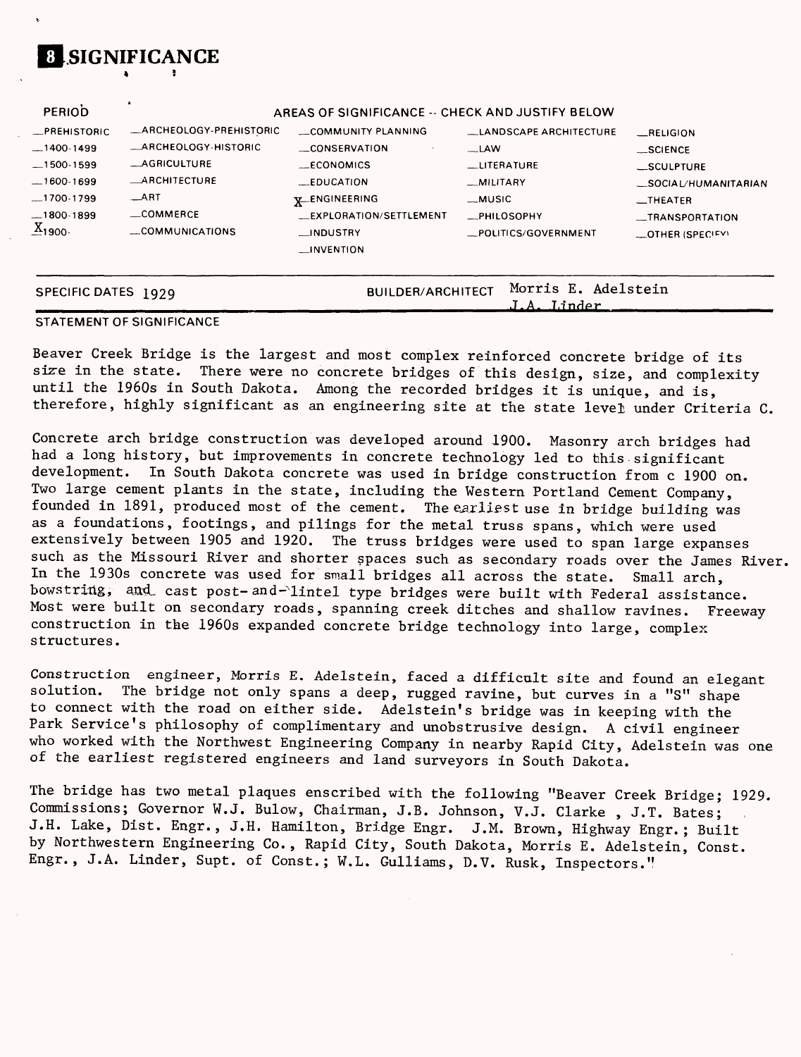

#### **STATEMENT OF SIGNIFICANCE**

**SIGNIFICANCE**

Beaver Creek Bridge is the largest and most complex reinforced concrete bridge of its size in the state. There were no concrete bridges of this design, size, and complexity until the 1960s in South Dakota. Among the recorded bridges it is unique, and is, therefore, highly significant as an engineering site at the state level under Criteria C.

**\_\_\_\_\_\_\_\_\_\_\_\_\_\_\_\_\_J-A. T.inrlpr\_\_\_\_\_\_\_\_**

Concrete arch bridge construction was developed around 1900. Masonry arch bridges had had a long history, but improvements in concrete technology led to this significant development. In South Dakota concrete was used in bridge construction from c 1900 on. Two large cement plants in the state, including the Western Portland Cement Company, founded in 1891, produced most of the cement. The earliest use in bridge building was as a foundations, footings, and pilings for the metal truss spans, which were used extensively between 1905 and 1920. The truss bridges were used to span large expanses such as the Missouri River and shorter spaces such as secondary roads over the James River, In the 1930s concrete was used for small bridges all across the state. Small arch, bowstring, and cast post- and-lintel type bridges were built with Federal assistance. Most were built on secondary roads, spanning creek ditches and shallow ravines. Freeway construction in the 1960s expanded concrete bridge technology into large, complex structures.

Construction engineer, Morris E. Adelstein, faced a difficult site and found an elegant solution. The bridge not only spans a deep, rugged ravine, but curves in a "S" shape to connect with the road on either side. Adelstein's bridge was in keeping with the Park Service's philosophy of complimentary and unobstrusive design. A civil engineer who worked with the Northwest Engineering Company in nearby Rapid City, Adelstein was one of the earliest registered engineers and land surveyors in South Dakota.

The bridge has two metal plaques enscribed with the following "Beaver Creek Bridge; 1929. Commissions; Governor W.J. Bulow, Chairman, J.B. Johnson, V.J. Clarke , J.T. Bates; J.H. Lake, Dist. Engr., J.H. Hamilton, Bridge Engr. J.M. Brown, Highway Engr.; Built by Northwestern Engineering Co., Rapid City, South Dakota, Morris E. Adelstein, Const. Engr., J.A. Linder, Supt. of Const.; W.L. Gulliams, D.V. Rusk, Inspectors."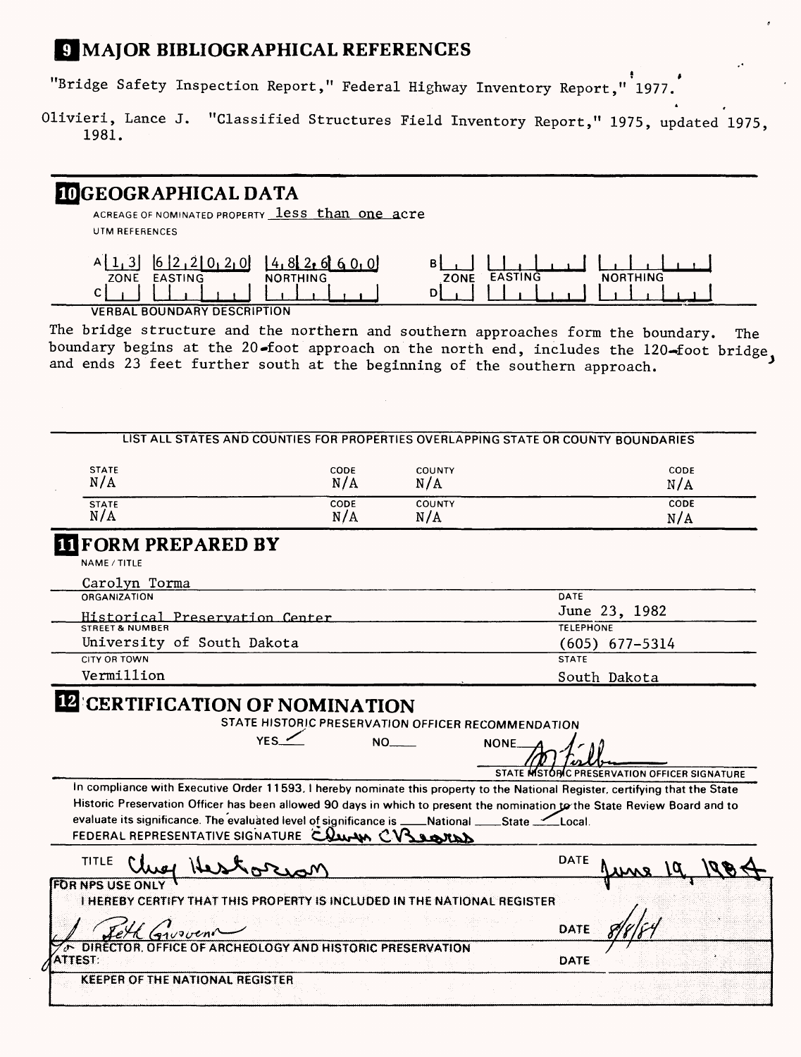# **S MAJOR BIBLIOGRAPHICAL REFERENCES**

"Bridge Safety Inspection Report," Federal Highway Inventory Report," 1977.

Olivieri, Lance J. "Classified Structures Field Inventory Report," 1975, updated 1975 1981.

# **IDGEOGRAPHICAL DATA**

ACREAGE OF NOMINATED PROPERTY **less than one acre UTM REFERENCES**

|                                                             | ינו |                               |        |
|-------------------------------------------------------------|-----|-------------------------------|--------|
| ZONE<br><b>FASTI</b>                                        | N 6 | <b>EASTING</b><br><b>ZONE</b> | N<br>. |
| ⌒                                                           |     |                               |        |
| $1.7 - 0.1$ $0.011$ $0.001$ $0.001$ $0.001$ $0.001$ $0.001$ |     |                               |        |

**VERBAL BOUNDARY DESCRIPTION**

The bridge structure and the northern and southern approaches form the boundary. The boundary begins at the 20-foot approach on the north end, includes the 120-foot bridge, and ends 23 feet further south at the beginning of the southern approach.

|                                                                                                                                                   |             |                      | LIST ALL STATES AND COUNTIES FOR PROPERTIES OVERLAPPING STATE OR COUNTY BOUNDARIES                                            |
|---------------------------------------------------------------------------------------------------------------------------------------------------|-------------|----------------------|-------------------------------------------------------------------------------------------------------------------------------|
| <b>STATE</b><br>N/A                                                                                                                               | CODE<br>N/A | <b>COUNTY</b><br>N/A | CODE<br>N/A                                                                                                                   |
| <b>STATE</b>                                                                                                                                      | <b>CODE</b> | <b>COUNTY</b>        | <b>CODE</b>                                                                                                                   |
| N/A                                                                                                                                               | N/A         | N/A                  | N/A                                                                                                                           |
| <b>IT FORM PREPARED BY</b>                                                                                                                        |             |                      |                                                                                                                               |
| NAME / TITLE                                                                                                                                      |             |                      |                                                                                                                               |
| Carolyn Torma                                                                                                                                     |             |                      |                                                                                                                               |
| <b>ORGANIZATION</b>                                                                                                                               |             |                      | DATE                                                                                                                          |
| Historical Preservation Center                                                                                                                    |             |                      | June 23, 1982                                                                                                                 |
|                                                                                                                                                   |             |                      | <b>TELEPHONE</b>                                                                                                              |
| University of South Dakota                                                                                                                        |             |                      | $(605)$ 677-5314                                                                                                              |
| <b>CITY OR TOWN</b>                                                                                                                               |             |                      | <b>STATE</b>                                                                                                                  |
| Vermillion                                                                                                                                        |             |                      | South Dakota                                                                                                                  |
|                                                                                                                                                   | YFS         | NO DI<br><b>NONE</b> |                                                                                                                               |
|                                                                                                                                                   |             |                      | STATE MISTORIC PRESERVATION OFFICER SIGNATURE                                                                                 |
|                                                                                                                                                   |             |                      | In compliance with Executive Order 11593, I hereby nominate this property to the National Register, certifying that the State |
| evaluate its significance. The evaluated level of significance is ____National ____State ___Local.<br>FEDERAL REPRESENTATIVE SIGNATURE COULDN CV3 |             |                      | Historic Preservation Officer has been allowed 90 days in which to present the nomination to the State Review Board and to    |
| TITLE                                                                                                                                             |             |                      | <b>DATE</b>                                                                                                                   |
| <b>FOR NPS USE ONLY</b><br>I HEREBY CERTIFY THAT THIS PROPERTY IS INCLUDED IN THE NATIONAL REGISTER<br>$G_{1}$ voven $\wedge$                     |             |                      | DATE                                                                                                                          |
| DIRECTOR, OFFICE OF ARCHEOLOGY AND HISTORIC PRESERVATION<br><b>ATTEST:</b>                                                                        |             |                      | DATE                                                                                                                          |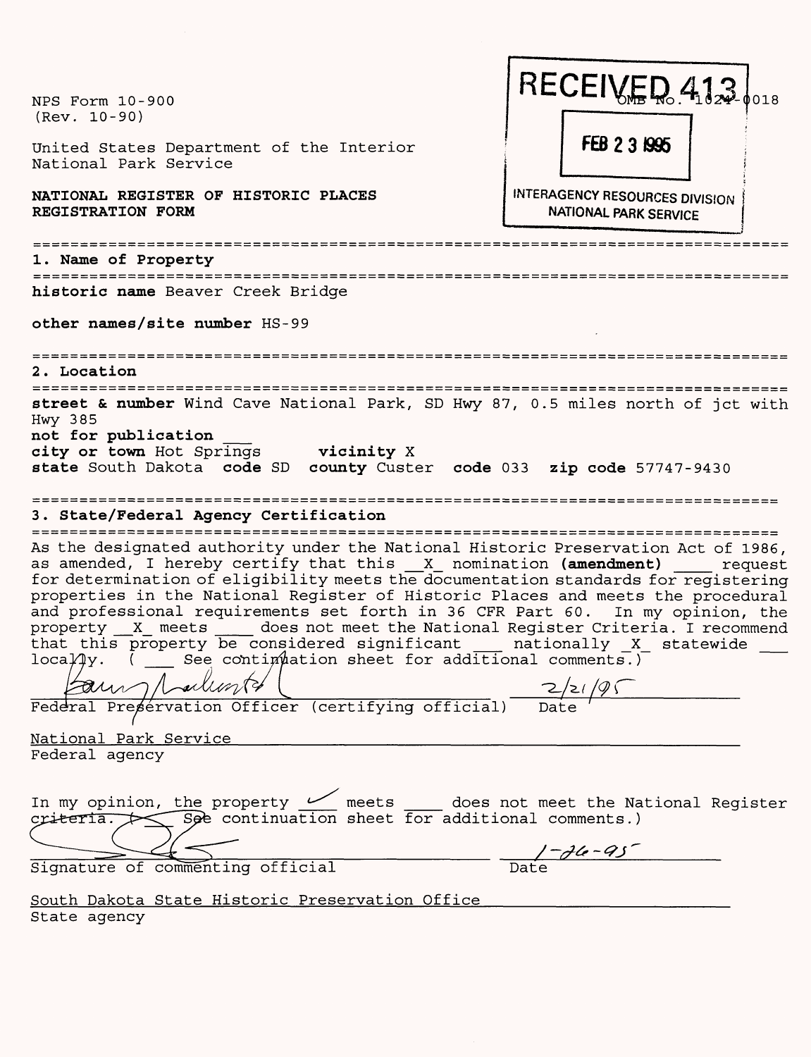| NPS Form 10-900<br>$(Rev. 10-90)$                                                                                                                                                                                                                                                                                                                                                                                                                                                                                                                                                                                                                                                                                           | RECEIVED 4122 loss                                                    |
|-----------------------------------------------------------------------------------------------------------------------------------------------------------------------------------------------------------------------------------------------------------------------------------------------------------------------------------------------------------------------------------------------------------------------------------------------------------------------------------------------------------------------------------------------------------------------------------------------------------------------------------------------------------------------------------------------------------------------------|-----------------------------------------------------------------------|
| United States Department of the Interior<br>National Park Service                                                                                                                                                                                                                                                                                                                                                                                                                                                                                                                                                                                                                                                           | FEB 2 3 1995                                                          |
| NATIONAL REGISTER OF HISTORIC PLACES<br>REGISTRATION FORM                                                                                                                                                                                                                                                                                                                                                                                                                                                                                                                                                                                                                                                                   | <b>INTERAGENCY RESOURCES DIVISION</b><br><b>NATIONAL PARK SERVICE</b> |
| 1. Name of Property                                                                                                                                                                                                                                                                                                                                                                                                                                                                                                                                                                                                                                                                                                         |                                                                       |
| =====================<br>historic name Beaver Creek Bridge                                                                                                                                                                                                                                                                                                                                                                                                                                                                                                                                                                                                                                                                  |                                                                       |
| other names/site number HS-99                                                                                                                                                                                                                                                                                                                                                                                                                                                                                                                                                                                                                                                                                               |                                                                       |
| ----------------<br>2. Location<br>=========================                                                                                                                                                                                                                                                                                                                                                                                                                                                                                                                                                                                                                                                                |                                                                       |
| Hwy 385<br>not for publication<br>city or town Hot Springs vicinity X<br>state South Dakota code SD county Custer code 033 zip code 57747-9430<br>==============<br>==================<br>3. State/Federal Agency Certification                                                                                                                                                                                                                                                                                                                                                                                                                                                                                             |                                                                       |
| As the designated authority under the National Historic Preservation Act of 1986,<br>as amended, I hereby certify that this X nomination (amendment)<br>for determination of eligibility meets the documentation standards for registering<br>properties in the National Register of Historic Places and meets the procedural<br>and professional requirements set forth in 36 CFR Part 60. In my opinion, the<br>property X meets does not meet the National Register Criteria. I recommend<br>that this property be considered significant ___ nationally _X_ statewide loca $\mu$ y. ( ___ See contimulation sheet for additional comments.)<br>au Mallont (certifying official) 2/21/95<br><u>National Park Service</u> | request                                                               |
| Federal agency                                                                                                                                                                                                                                                                                                                                                                                                                                                                                                                                                                                                                                                                                                              |                                                                       |
| In my opinion, the property $\frac{1}{\sqrt{2}}$ meets $\frac{1}{\sqrt{2}}$ does not meet the National Register<br>$c$ riteria. $\diagup$ see continuation sheet for additional comments.)<br>Signature of commenting official                                                                                                                                                                                                                                                                                                                                                                                                                                                                                              | $-\frac{1-d\theta - 95}{\text{Date}}$                                 |
| <u>South Dakota State Historic Preservation Office</u><br>State agency                                                                                                                                                                                                                                                                                                                                                                                                                                                                                                                                                                                                                                                      |                                                                       |

State agency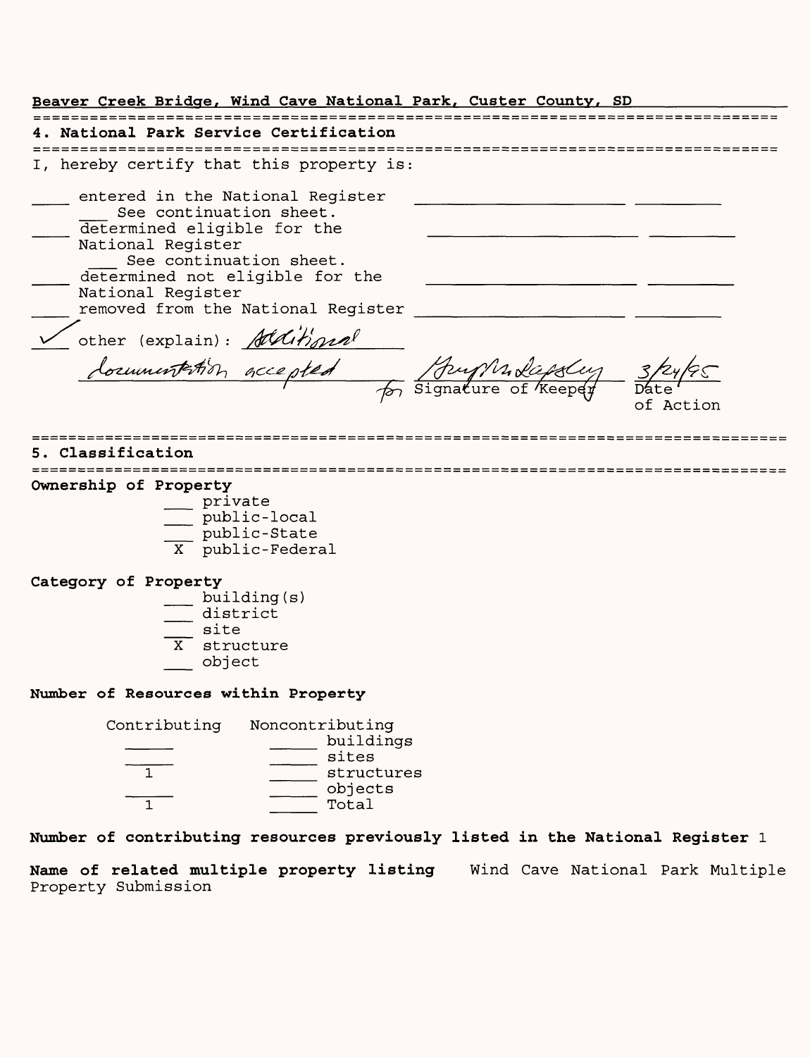**Beaver Creek Bridge, Wind Cave National Park, Custer County, SD 4. National Park Service Certification** I, hereby certify that this property is: \_\_\_ entered in the National Register \_\_\_\_\_\_\_\_\_\_\_\_\_\_\_\_\_\_\_ See continuation sheet. determined eligible for the National Register See continuation sheet. \_\_\_ determined not eligible for the \_\_\_\_\_\_\_\_\_\_\_\_\_\_\_\_\_\_\_ National Register \_\_\_ removed from the National Register \_\_\_\_\_\_\_\_\_\_\_\_\_\_\_\_\_\_\_ other (explain): Alditional Signature of *Keepey* Date of Action **5. Classification Ownership of Property** \_\_ private \_\_ public-local \_\_\_ public-State X public-Federal **Category of Property** \_\_ building(s)  $\equiv$  district  $\equiv$  site X structure \_\_ object **Number of Resources within Property** Contributing Noncontributing \_\_\_\_\_\_ buildings \_\_\_\_ \_\_\_\_ sites 1 \_\_\_\_\_\_\_ structures \_\_\_\_ \_\_\_\_ objects  $\frac{1}{1}$  Total **Number of contributing resources previously listed in the National Register 1**

**Name of related multiple property listing** Wind Cave National Park Multiple Property Submission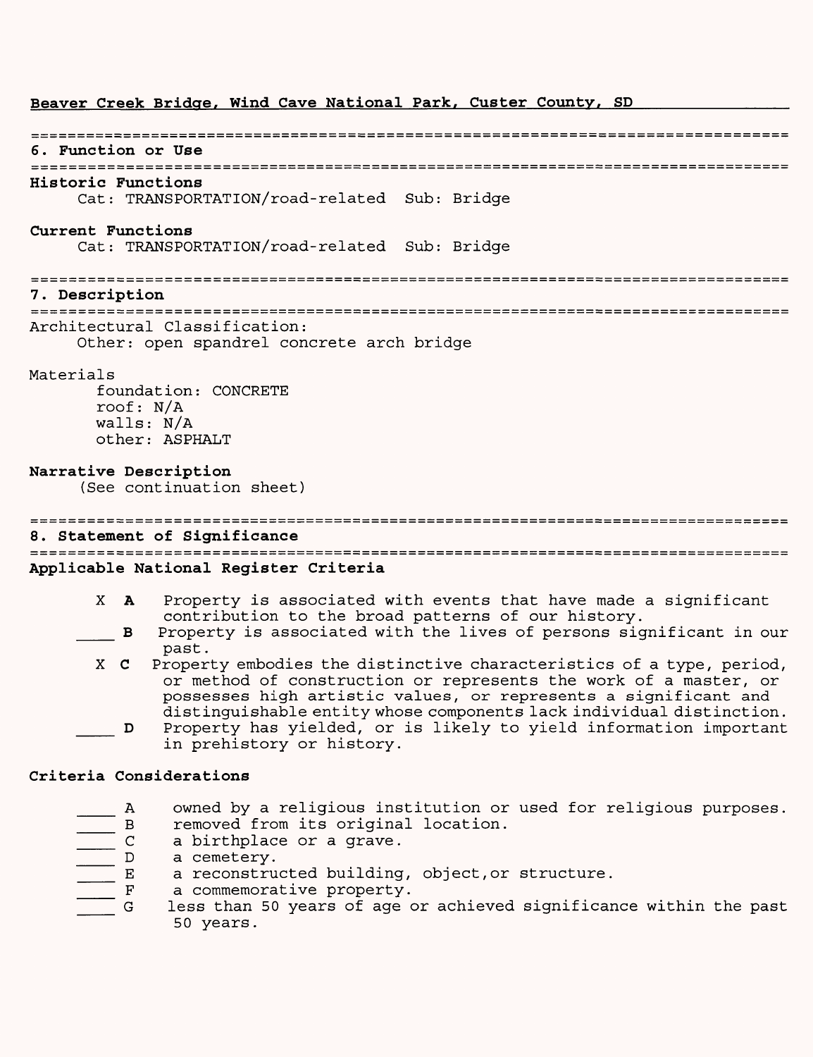# **Beaver Creek Bridge, Wind Cave National Park, Custer County, SD**

#### 

**6. Function or Use**

# **Historic Functions**

Cat: TRANSPORTATION/road-related Sub: Bridge

#### **Current Functions**

Cat: TRANSPORTATION/road-related Sub: Bridge

#### **7. Description**

Architectural Classification:

Other: open spandrel concrete arch bridge

### Materials

foundation: CONCRETE roof: N/A walls: N/A other: ASPHALT

# **Narrative Description**

(See continuation sheet)

**8. Statement of Significance Applicable National Register Criteria**

- X A Property is associated with events that have made a significant contribution to the broad patterns of our history.
- B Property is associated with the lives of persons significant in our past.
- X C Property embodies the distinctive characteristics of a type, period, or method of construction or represents the work of a master, or possesses high artistic values, or represents a significant and distinguishable entity whose components lack individual distinction.
- \_\_\_ D Property has yielded, or is likely to yield information important in prehistory or history.

# **Criteria Considerations**

- $\frac{1}{2}$  A owned by a religious institution or used for religious purposes.<br> $\frac{1}{2}$  B removed from its original location.
	- B removed from its original location.<br>
	C a birthplace or a grave.
	- a birthplace or a grave.<br>a cemetery.
- $\begin{tabular}{|c|c|c|c|} \hline \quad & D & D \\ \hline \quad & E & E \\ \hline \quad & F & F \\ \hline \end{tabular}$ 
	- a reconstructed building, object, or structure.
	-
	- F a commemorative property.<br>G less than 50 years of age o less than 50 years of age or achieved significance within the past 50 years.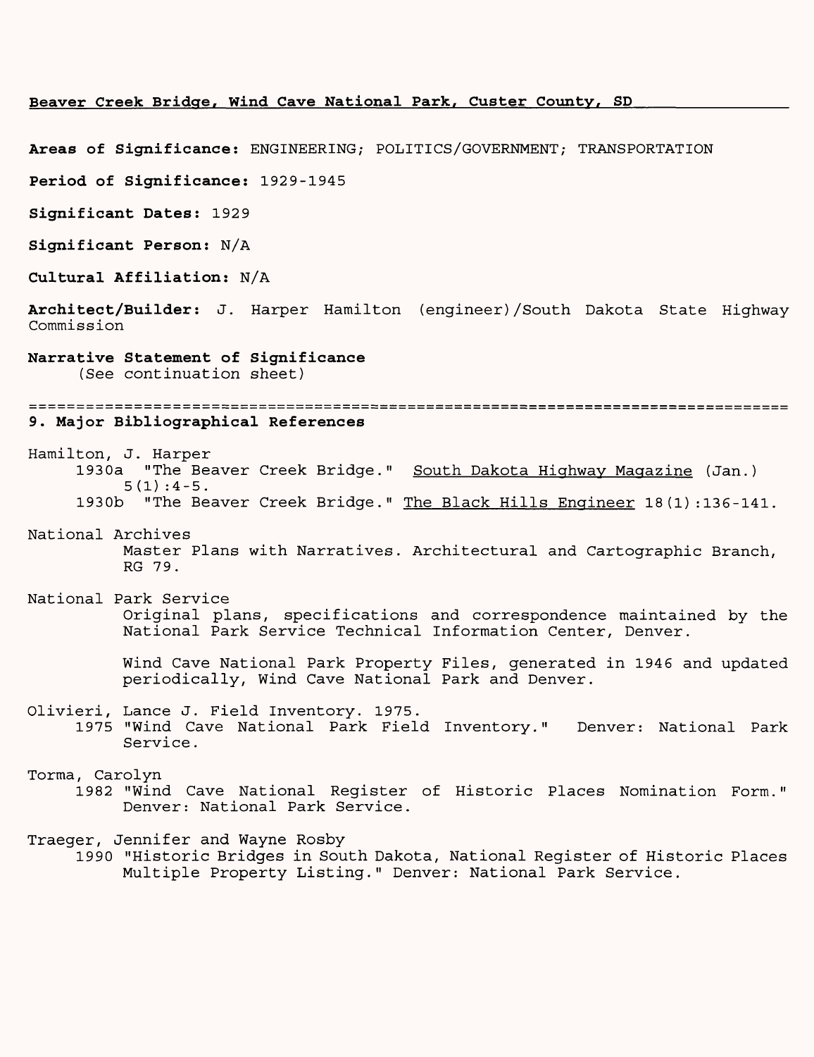#### **Beaver Creek Bridge, Wind Cave National Park, Custer County, SD\_\_\_\_\_\_\_\_\_\_\_\_\_\_**

**Areas of Significance:** ENGINEERING; POLITICS/GOVERNMENT; TRANSPORTATION

**Period of Significance:** 1929-1945

**Significant Dates:** 1929

**Significant Person: N/A** 

**Cultural Affiliation: N/A**

**Architect/Builder:** J. Harper Hamilton (engineer)/South Dakota State Highway Commission

## **Narrative Statement of Significance**

(See continuation sheet)

#### **9. Major Bibliographical References**

Hamilton, J. Harper 1930a "The Beaver Creek Bridge." South Dakota Highway Magazine (Jan.)  $5(1):4-5$ . 1930b "The Beaver Creek Bridge." The Black Hills Engineer 18(1):136-141.

### National Archives Master Plans with Narratives. Architectural and Cartographic Branch, RG 79.

# National Park Service Original plans, specifications and correspondence maintained by the National Park Service Technical Information Center, Denver.

Wind Cave National Park Property Files, generated in 1946 and updated periodically, Wind Cave National Park and Denver.

# Olivieri, Lance J. Field Inventory. 1975.

1975 "Wind Cave National Park Field Inventory." Denver: National Park Service.

#### Torma, Carolyn

1982 "Wind Cave National Register of Historic Places Nomination Form." Denver: National Park Service.

Traeger, Jennifer and Wayne Rosby

1990 "Historic Bridges in South Dakota, National Register of Historic Places Multiple Property Listing." Denver: National Park Service.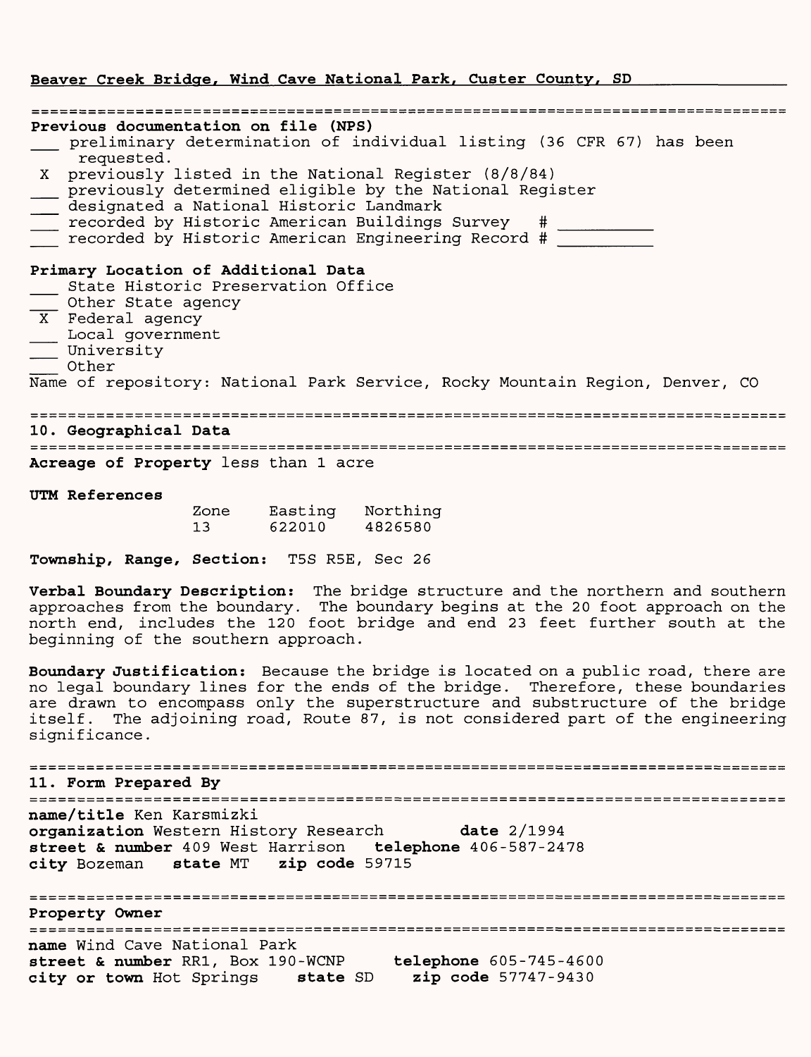#### **Beaver Creek Bridge, Wind Cave National Park, Custer County, SD**

| Previous documentation on file (NPS)<br>preliminary determination of individual listing (36 CFR 67) has been                                                                                                                                                                                                                                   |
|------------------------------------------------------------------------------------------------------------------------------------------------------------------------------------------------------------------------------------------------------------------------------------------------------------------------------------------------|
| requested.<br>X previously listed in the National Register (8/8/84)<br>previously determined eligible by the National Register<br>previously determined eligible by the National Register<br>designated a National Historic Landmark<br>recorded by Historic American Buildings Survey #<br>recorded by Historic American Engineering Record # |
| Primary Location of Additional Data<br>State Historic Preservation Office<br>Other State agency<br>$\overline{X}$ Federal agency<br>Local government<br>University<br>$\overline{\phantom{a}}$ other<br>Name of repository: National Park Service, Rocky Mountain Region, Denver, CO                                                           |
| 10. Geographical Data<br>============<br>Acreage of Property less than 1 acre                                                                                                                                                                                                                                                                  |
| UTM References                                                                                                                                                                                                                                                                                                                                 |

| Zone | Easting | Northing |
|------|---------|----------|
| 13   | 622010  | 4826580  |

**Township, Range, Section:** T5S R5E, Sec 26

**Verbal Boundary Description:** The bridge structure and the northern and southern approaches from the boundary. The boundary begins at the 20 foot approach on the north end, includes the 120 foot bridge and end 23 feet further south at the beginning of the southern approach.

**Boundary Justification:** Because the bridge is located on a public road, there are no legal boundary lines for the ends of the bridge. Therefore, these boundaries are drawn to encompass only the superstructure and substructure of the bridge itself. The adjoining road, Route 87, is not considered part of the engineering significance.

**11. Form Prepared By name/title** Ken Karsmizki **organization** Western History Research **date** 2/1994 **street & number** 409 West Harrison **telephone** 406-587-2478 **city** Bozeman **state** MT **zip code** 59715 **Property Owner** name Wind Cave National Park **street & number** RR1, Box 190-WCNP **telephone** 605-745-4600 **city or town** Hot Springs **state** SD **zip code** 57747-9430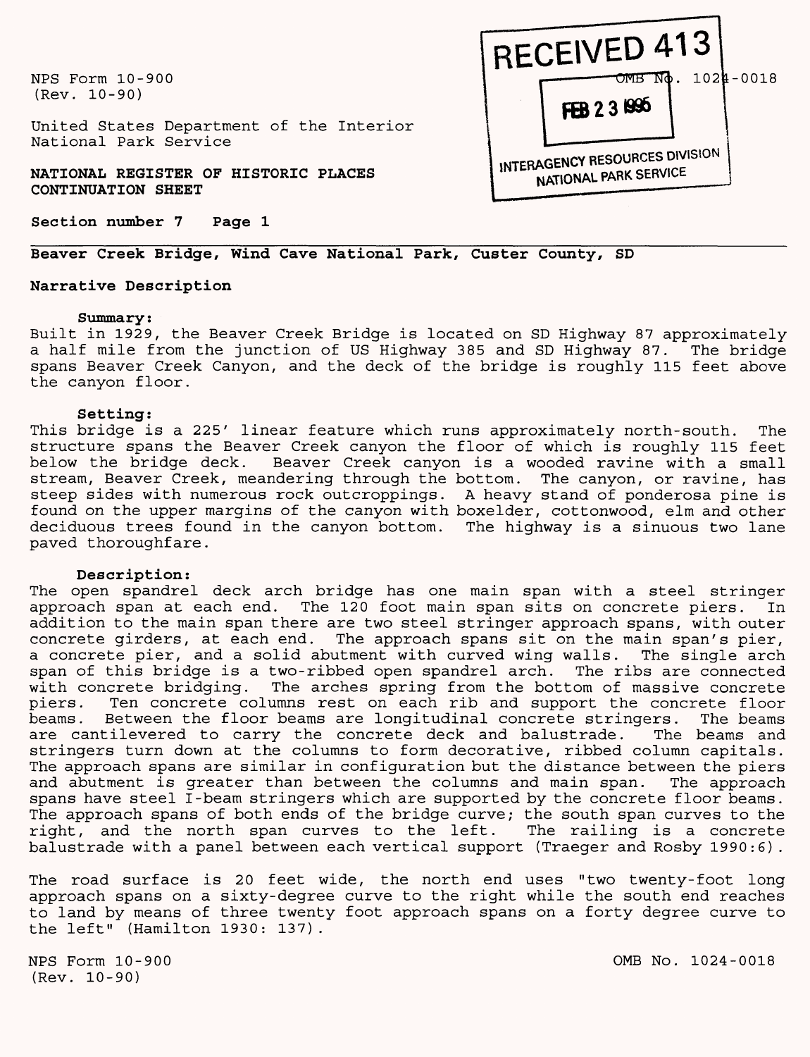NFS Form 10-900 (Rev. 10-90)

United States Department of the Interior National Park Service

**NATIONAL REGISTER OF HISTORIC PLACES CONTINUATION SHEET**

**Section number 7 Page 1**

# **Beaver Creek Bridge, Wind Cave National Park, Custer County, SD**

#### **Narrative Description**

#### **Summary:**

Built in 1929, the Beaver Creek Bridge is located on SD Highway 87 approximately a half mile from the junction of US Highway 385 and SD Highway 87. The bridge spans Beaver Creek Canyon, and the deck of the bridge is roughly 115 feet above the canyon floor.

#### **Setting:**

This bridge is a 225' linear feature which runs approximately north-south. The structure spans the Beaver Creek canyon the floor of which is roughly 115 feet below the bridge deck. Beaver Creek canyon is a wooded ravine with a small stream, Beaver Creek, meandering through the bottom. The canyon, or ravine, has steep sides with numerous rock outcroppings. A heavy stand of ponderosa pine is found on the upper margins of the canyon with boxelder, cottonwood, elm and other deciduous trees found in the canyon bottom. The highway is a sinuous two lane paved thoroughfare.

#### **Description:**

The open spandrel deck arch bridge has one main span with a steel stringer approach span at each end. The 120 foot main span sits on concrete piers. In addition to the main span there are two steel stringer approach spans, with outer concrete girders, at each end. The approach spans sit on the main span's pier, a concrete pier, and a solid abutment with curved wing walls. The single arch span of this bridge is a two-ribbed open spandrel arch. The ribs are connected with concrete bridging. The arches spring from the bottom of massive concrete piers. Ten concrete columns rest on each rib and support the concrete floor<br>beams. Between the floor beams are longitudinal concrete stringers. The beams Between the floor beams are longitudinal concrete stringers. The beams are cantilevered to carry the concrete deck and balustrade. The beams and stringers turn down at the columns to form decorative, ribbed column capitals. The approach spans are similar in configuration but the distance between the piers and abutment is greater than between the columns and main span. The approach spans have steel I-beam stringers which are supported by the concrete floor beams. The approach spans of both ends of the bridge curve; the south span curves to the right, and the north span curves to the left. The railing is a concrete balustrade with a panel between each vertical support (Traeger and Rosby 1990:6).

The road surface is 20 feet wide, the north end uses "two twenty-foot long approach spans on a sixty-degree curve to the right while the south end reaches to land by means of three twenty foot approach spans on a forty degree curve to the left" (Hamilton 1930: 137).

NFS Form 10-900 (Rev. 10-90)

**iNTERAGENCY RESOURCES DIVISION NATIONAL PARK SERVICE** 

 $-$ OMB N $\phi$ . 1024-0018

**RECEIVED 413**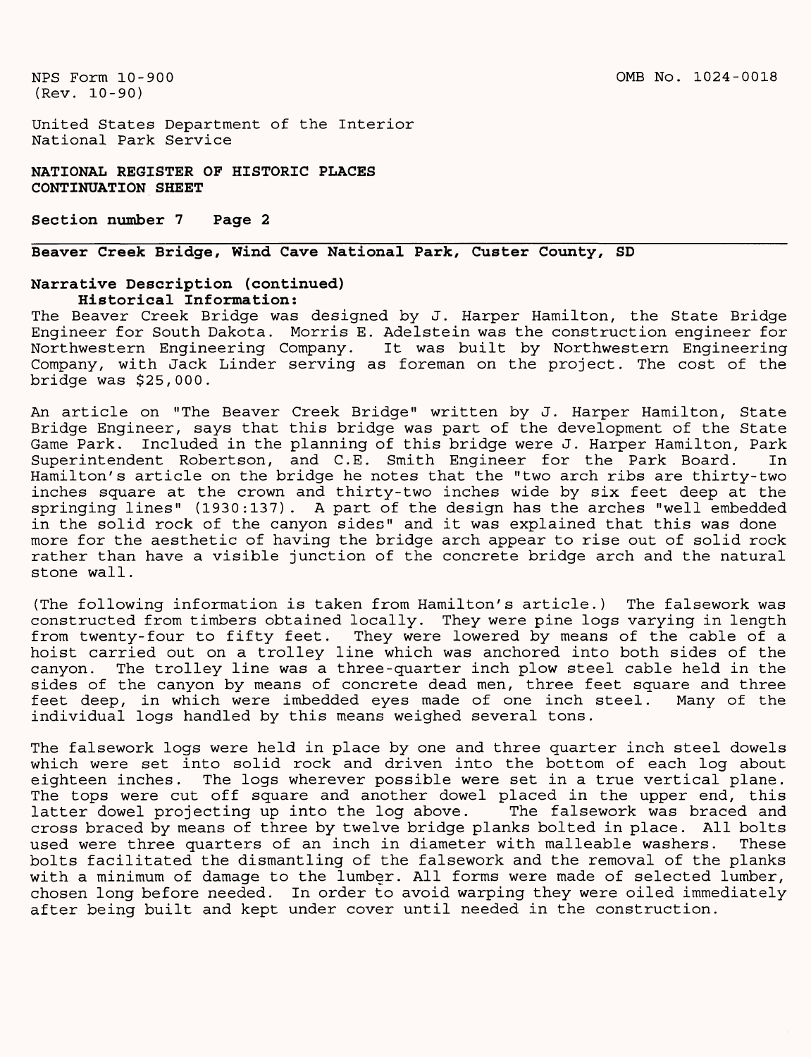United States Department of the Interior National Park Service

**NATIONAL REGISTER OF HISTORIC PLACES CONTINUATION SHEET**

**Section number 7 Page 2**

## **Beaver Creek Bridge, Wind Cave National Park, Custer County, SD**

#### **Narrative Description (continued) Historical Information:**

The Beaver Creek Bridge was designed by J. Harper Hamilton, the State Bridge Engineer for South Dakota. Morris E. Adelstein was the construction engineer for Northwestern Engineering Company. It was built by Northwestern Engineering Company, with Jack Linder serving as foreman on the project. The cost of the bridge was \$25,000.

An article on "The Beaver Creek Bridge" written by J. Harper Hamilton, State Bridge Engineer, says that this bridge was part of the development of the State Game Park. Included in the planning of this bridge were J. Harper Hamilton, Park Superintendent Robertson, and C.E. Smith Engineer for the Park Board. In Hamilton's article on the bridge he notes that the "two arch ribs are thirty-two inches square at the crown and thirty-two inches wide by six feet deep at the springing lines" (1930:137) . A part of the design has the arches "well embedded in the solid rock of the canyon sides" and it was explained that this was done more for the aesthetic of having the bridge arch appear to rise out of solid rock rather than have a visible junction of the concrete bridge arch and the natural stone wall.

(The following information is taken from Hamilton's article.) The falsework was constructed from timbers obtained locally. They were pine logs varying in length from twenty-four to fifty feet. They were lowered by means of the cable of a hoist carried out on a trolley line which was anchored into both sides of the canyon. The trolley line was a three-quarter inch plow steel cable held in the sides of the canyon by means of concrete dead men, three feet square and three feet deep, in which were imbedded eyes made of one inch steel. Many of the individual logs handled by this means weighed several tons.

The falsework logs were held in place by one and three quarter inch steel dowels which were set into solid rock and driven into the bottom of each log about eighteen inches. The logs wherever possible were set in a true vertical plane. The tops were cut off square and another dowel placed in the upper end, this<br>latter dowel projecting up into the log above. The falsework was braced and latter dowel projecting up into the log above. cross braced by means of three by twelve bridge planks bolted in place. All bolts used were three quarters of an inch in diameter with malleable washers. These bolts facilitated the dismantling of the falsework and the removal of the planks with a minimum of damage to the lumber. All forms were made of selected lumber, chosen long before needed. In order to avoid warping they were oiled immediately after being built and kept under cover until needed in the construction.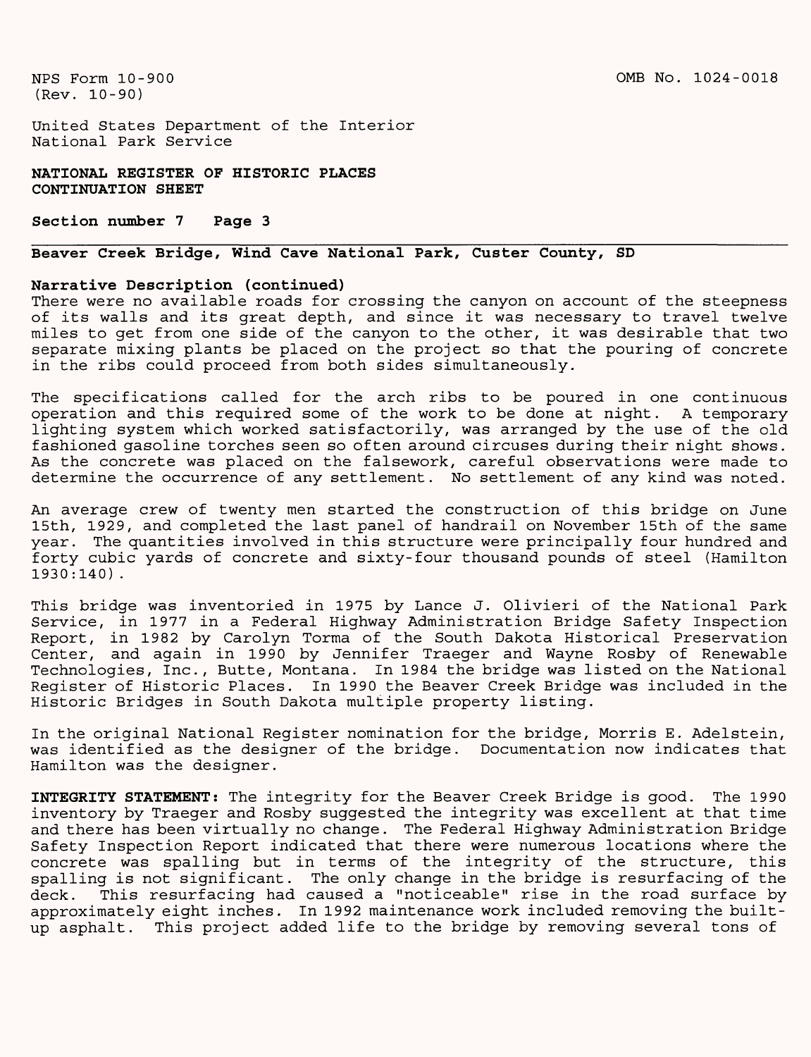United States Department of the Interior National Park Service

**NATIONAL REGISTER OF HISTORIC PLACES CONTINUATION SHEET**

**Section number 7 Page 3**

# **Beaver Creek Bridge, Wind Cave National Park, Custer County, SD**

#### **Narrative Description (continued)**

There were no available roads for crossing the canyon on account of the steepness of its walls and its great depth, and since it was necessary to travel twelve miles to get from one side of the canyon to the other, it was desirable that two separate mixing plants be placed on the project so that the pouring of concrete in the ribs could proceed from both sides simultaneously.

The specifications called for the arch ribs to be poured in one continuous operation and this required some of the work to be done at night. A temporary lighting system which worked satisfactorily, was arranged by the use of the old fashioned gasoline torches seen so often around circuses during their night shows. As the concrete was placed on the falsework, careful observations were made to determine the occurrence of any settlement. No settlement of any kind was noted.

An average crew of twenty men started the construction of this bridge on June 15th, 1929, and completed the last panel of handrail on November 15th of the same year. The quantities involved in this structure were principally four hundred and forty cubic yards of concrete and sixty-four thousand pounds of steel (Hamilton 1930:140).

This bridge was inventoried in 1975 by Lance J. Olivieri of the National Park Service, in 1977 in a Federal Highway Administration Bridge Safety Inspection Report, in 1982 by Carolyn Torma of the South Dakota Historical Preservation Center, and again in 1990 by Jennifer Traeger and Wayne Rosby of Renewable Technologies, Inc., Butte, Montana. In 1984 the bridge was listed on the National Register of Historic Places. In 1990 the Beaver Creek Bridge was included in the Historic Bridges in South Dakota multiple property listing.

In the original National Register nomination for the bridge, Morris E. Adelstein, was identified as the designer of the bridge. Documentation now indicates that Hamilton was the designer.

INTEGRITY STATEMENT: The integrity for the Beaver Creek Bridge is good. The 1990 inventory by Traeger and Rosby suggested the integrity was excellent at that time and there has been virtually no change. The Federal Highway Administration Bridge Safety Inspection Report indicated that there were numerous locations where the concrete was spalling but in terms of the integrity of the structure, this spalling is not significant. The only change in the bridge is resurfacing of the deck. This resurfacing had caused a "noticeable" rise in the road surface by approximately eight inches. In 1992 maintenance work included removing the builtup asphalt. This project added life to the bridge by removing several tons of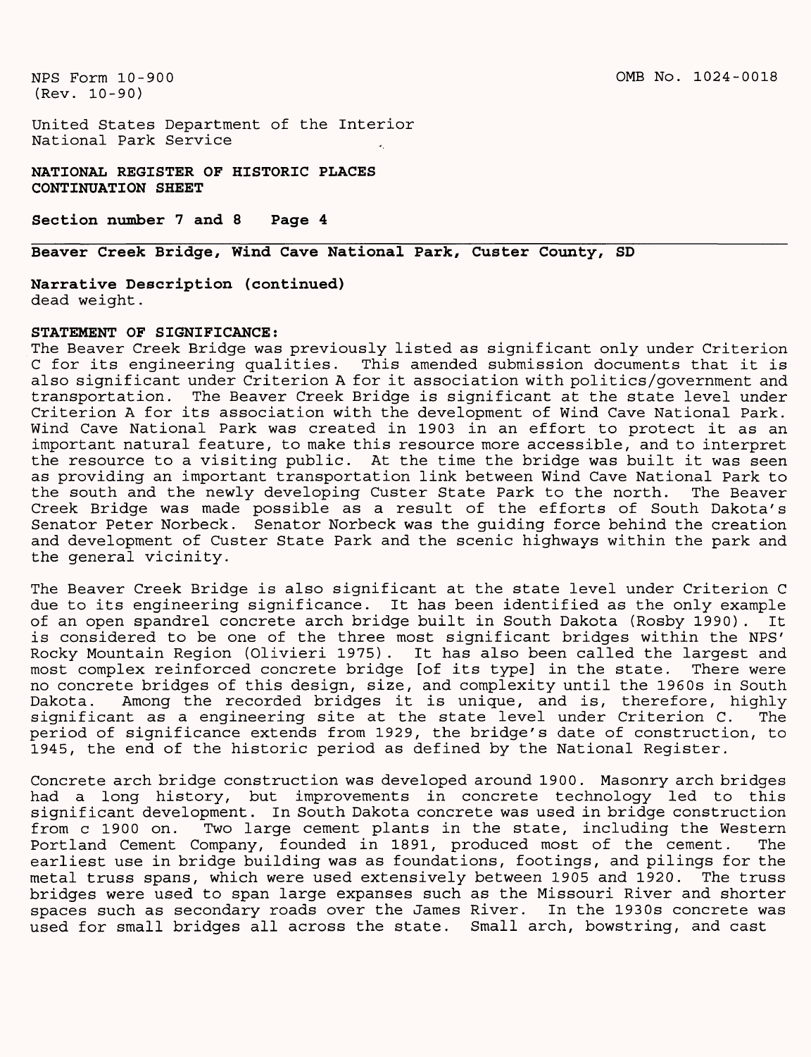United States Department of the Interior National Park Service

**NATIONAL REGISTER OF HISTORIC PLACES CONTINUATION SHEET**

**Section number 7 and 8 Page 4**

# **Beaver Creek Bridge, Wind Cave National Park, Custer County, SD**

**Narrative Description (continued)** dead weight.

#### **STATEMENT OF SIGNIFICANCE:**

The Beaver Creek Bridge was previously listed as significant only under Criterion C for its engineering qualities. This amended submission documents that it is also significant under Criterion A for it association with politics/government and transportation. The Beaver Creek Bridge is significant at the state level under Criterion A for its association with the development of Wind Cave National Park. Wind Cave National Park was created in 1903 in an effort to protect it as an important natural feature, to make this resource more accessible, and to interpret the resource to a visiting public. At the time the bridge was built it was seen as providing an important transportation link between Wind Cave National Park to the south and the newly developing Custer State Park to the north. The Beaver Creek Bridge was made possible as a result of the efforts of South Dakota's Senator Peter Norbeck. Senator Norbeck was the guiding force behind the creation and development of Custer State Park and the scenic highways within the park and the general vicinity.

The Beaver Creek Bridge is also significant at the state level under Criterion C due to its engineering significance. It has been identified as the only example of an open spandrel concrete arch bridge built in South Dakota (Rosby 1990). It is considered to be one of the three most significant bridges within the NPS' Rocky Mountain Region (Olivieri 1975). It has also been called the largest and most complex reinforced concrete bridge [of its type] in the state. There were no concrete bridges of this design, size, and complexity until the 1960s in South Dakota. Among the recorded bridges it is unique, and is, therefore, highly significant as a engineering site at the state level under Criterion C. The period of significance extends from 1929, the bridge's date of construction, to 1945, the end of the historic period as defined by the National Register.

Concrete arch bridge construction was developed around 1900. Masonry arch bridges had a long history, but improvements in concrete technology led to this significant development. In South Dakota concrete was used in bridge construction from c 1900 on. Two large cement plants in the state, including the Western Portland Cement Company, founded in 1891, produced most of the cement. The earliest use in bridge building was as foundations, footings, and pilings for the metal truss spans, which were used extensively between 1905 and 1920. The truss bridges were used to span large expanses such as the Missouri River and shorter spaces such as secondary roads over the James River. In the 1930s concrete was used for small bridges all across the state. Small arch, bowstring, and cast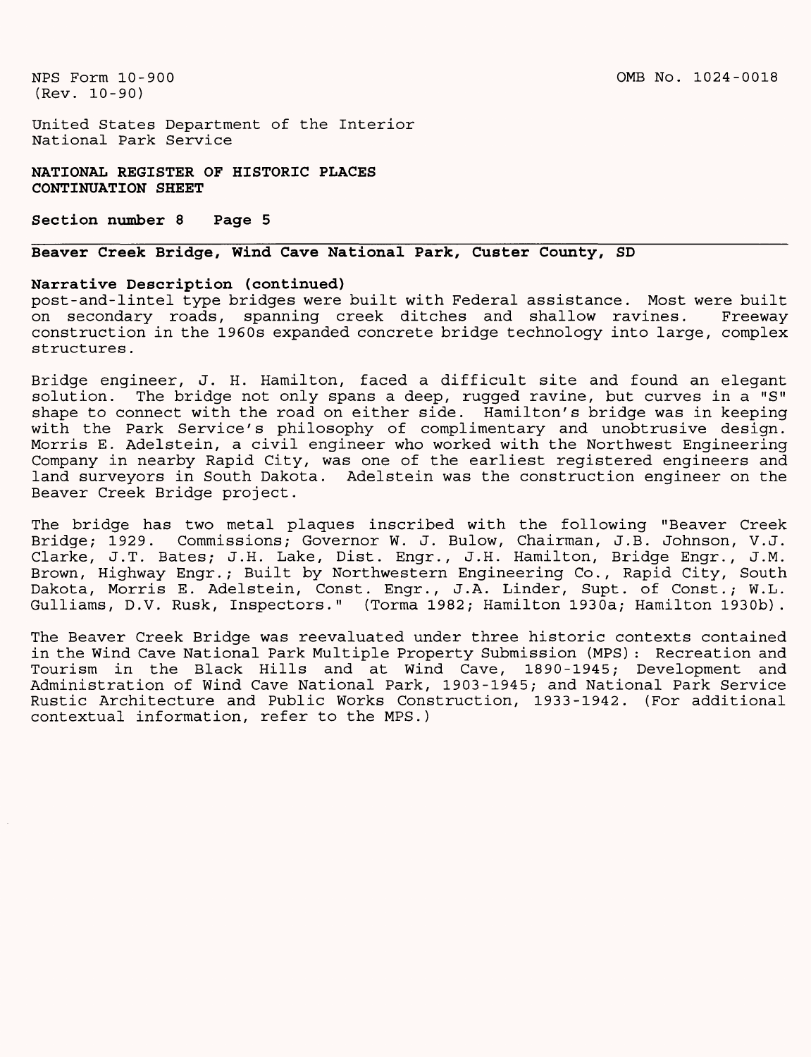United States Department of the Interior National Park Service

**NATIONAL REGISTER OF HISTORIC PLACES CONTINUATION SHEET**

**Section number 8 Page 5**

# **Beaver Creek Bridge, Wind Cave National Park, Custer County, SD**

#### **Narrative Description (continued)**

post-and-lintel type bridges were built with Federal assistance. Most were built on secondary roads, spanning creek ditches and shallow ravines. Freeway construction in the 1960s expanded concrete bridge technology into large, complex structures.

Bridge engineer, J. H. Hamilton, faced a difficult site and found an elegant<br>solution. The bridge not only spans a deep, rugged ravine, but curves in a "S" The bridge not only spans a deep, rugged ravine, but curves in a "S" shape to connect with the road on either side. Hamilton's bridge was in keeping with the Park Service's philosophy of complimentary and unobtrusive design. Morris E. Adelstein, a civil engineer who worked with the Northwest Engineering Company in nearby Rapid City, was one of the earliest registered engineers and land surveyors in South Dakota. Adelstein was the construction engineer on the Beaver Creek Bridge project.

The bridge has two metal plaques inscribed with the following "Beaver Creek Bridge; 1929. Commissions; Governor W. J. Bulow, Chairman, J.B. Johnson, V.J. Clarke, J.T. Bates; J.H. Lake, Dist. Engr., J.H. Hamilton, Bridge Engr., J.M. Brown, Highway Engr.; Built by Northwestern Engineering Co., Rapid City, South Dakota, Morris E. Adelstein, Const. Engr., J.A. Linder, Supt. of Const.; W.L. Gulliams, D.V. Rusk, Inspectors." (Torma 1982; Hamilton 1930a; Hamilton 1930b).

The Beaver Creek Bridge was reevaluated under three historic contexts contained in the Wind Cave National Park Multiple Property Submission (MPS): Recreation and Tourism in the Black Hills and at Wind Cave, 1890-1945; Development and Administration of Wind Cave National Park, 1903-1945; and National Park Service Rustic Architecture and Public Works Construction, 1933-1942. (For additional contextual information, refer to the MPS.)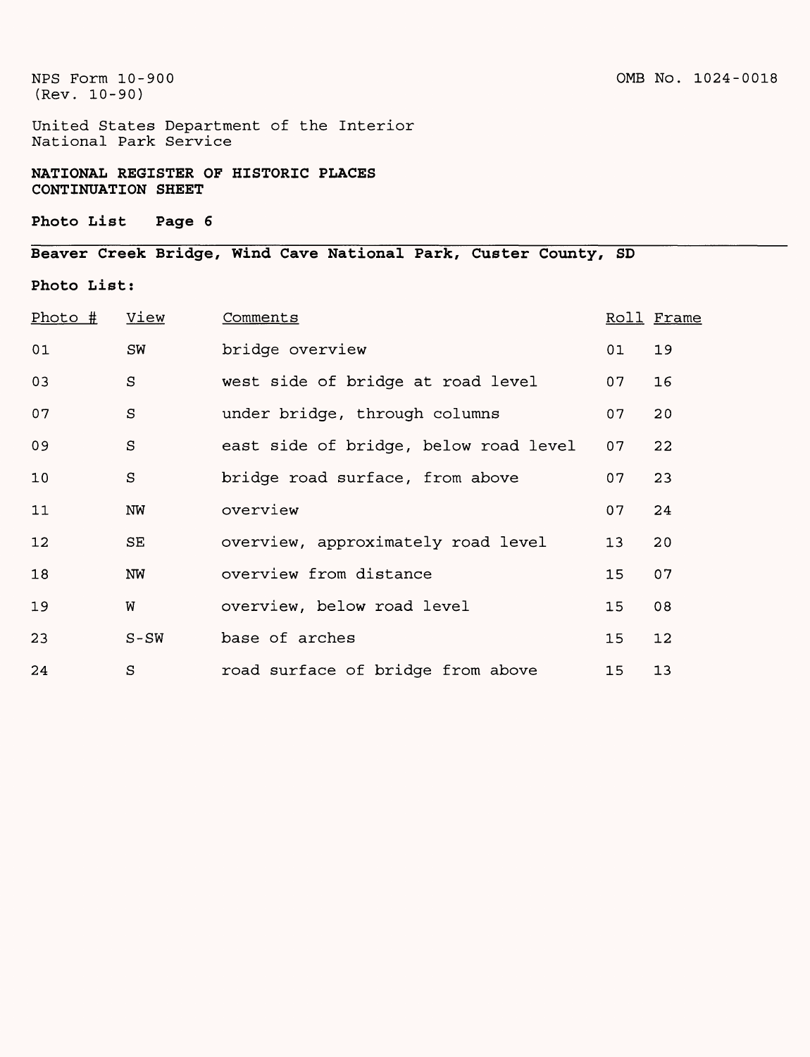United States Department of the Interior National Park Service

**NATIONAL REGISTER OF HISTORIC PLACES CONTINUATION SHEET**

### **Photo List Page 6**

# Beaver Creek Bridge , Wind Cave National Park, Custer County, SD

## Photo List:

| $Photo$ # | View    | Comments                              |                 | Roll Frame |
|-----------|---------|---------------------------------------|-----------------|------------|
| 01        | SW      | bridge overview                       | 01              | 19         |
| 03        | S       | west side of bridge at road level     | 07              | 16         |
| 07        | $\rm S$ | under bridge, through columns         | 07              | 20         |
| 09        | $\rm S$ | east side of bridge, below road level | 07              | 22         |
| 10        | S       | bridge road surface, from above       | 07              | 23         |
| 11        | NW      | overview                              | 07              | 24         |
| 12        | SE      | overview, approximately road level    | 13              | 20         |
| 18        | NW      | overview from distance                | 15              | 07         |
| 19        | W       | overview, below road level            | 15              | 08         |
| 23        | $S-SW$  | base of arches                        | 15              | 12         |
| 24        | S       | road surface of bridge from above     | 15 <sub>1</sub> | 13         |